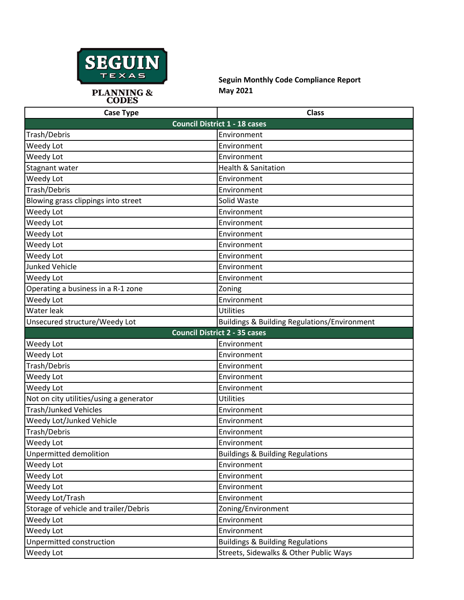

**Seguin Monthly Code Compliance Report May 2021**

| <b>Case Type</b>                        | <b>Class</b>                                            |  |
|-----------------------------------------|---------------------------------------------------------|--|
| <b>Council District 1 - 18 cases</b>    |                                                         |  |
| Trash/Debris                            | Environment                                             |  |
| Weedy Lot                               | Environment                                             |  |
| Weedy Lot                               | Environment                                             |  |
| Stagnant water                          | <b>Health &amp; Sanitation</b>                          |  |
| Weedy Lot                               | Environment                                             |  |
| Trash/Debris                            | Environment                                             |  |
| Blowing grass clippings into street     | Solid Waste                                             |  |
| Weedy Lot                               | Environment                                             |  |
| Weedy Lot                               | Environment                                             |  |
| Weedy Lot                               | Environment                                             |  |
| Weedy Lot                               | Environment                                             |  |
| Weedy Lot                               | Environment                                             |  |
| <b>Junked Vehicle</b>                   | Environment                                             |  |
| Weedy Lot                               | Environment                                             |  |
| Operating a business in a R-1 zone      | Zoning                                                  |  |
| Weedy Lot                               | Environment                                             |  |
| Water leak                              | <b>Utilities</b>                                        |  |
| Unsecured structure/Weedy Lot           | <b>Buildings &amp; Building Regulations/Environment</b> |  |
|                                         | <b>Council District 2 - 35 cases</b>                    |  |
| Weedy Lot                               | Environment                                             |  |
| Weedy Lot                               | Environment                                             |  |
| Trash/Debris                            | Environment                                             |  |
| Weedy Lot                               | Environment                                             |  |
| Weedy Lot                               | Environment                                             |  |
| Not on city utilities/using a generator | <b>Utilities</b>                                        |  |
| <b>Trash/Junked Vehicles</b>            | Environment                                             |  |
| Weedy Lot/Junked Vehicle                | Environment                                             |  |
| Trash/Debris                            | Environment                                             |  |
| Weedy Lot                               | Environment                                             |  |
| Unpermitted demolition                  | <b>Buildings &amp; Building Regulations</b>             |  |
| Weedy Lot                               | Environment                                             |  |
| Weedy Lot                               | Environment                                             |  |
| Weedy Lot                               | Environment                                             |  |
| Weedy Lot/Trash                         | Environment                                             |  |
| Storage of vehicle and trailer/Debris   | Zoning/Environment                                      |  |
| Weedy Lot                               | Environment                                             |  |
| Weedy Lot                               | Environment                                             |  |
| Unpermitted construction                | <b>Buildings &amp; Building Regulations</b>             |  |
| Weedy Lot                               | Streets, Sidewalks & Other Public Ways                  |  |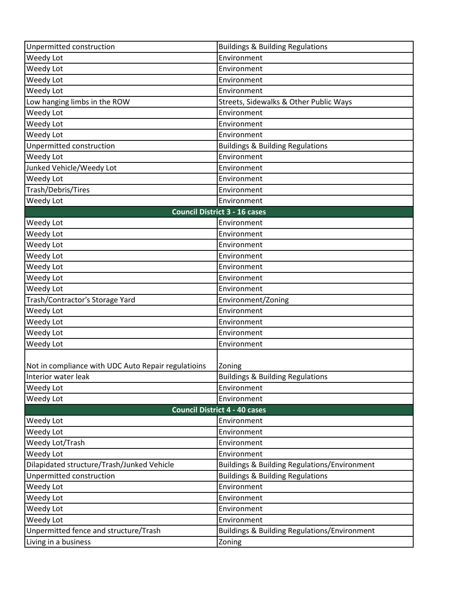| Unpermitted construction                            | <b>Buildings &amp; Building Regulations</b>             |
|-----------------------------------------------------|---------------------------------------------------------|
| Weedy Lot                                           | Environment                                             |
| Weedy Lot                                           | Environment                                             |
| Weedy Lot                                           | Environment                                             |
| Weedy Lot                                           | Environment                                             |
| Low hanging limbs in the ROW                        | Streets, Sidewalks & Other Public Ways                  |
| Weedy Lot                                           | Environment                                             |
| Weedy Lot                                           | Environment                                             |
| Weedy Lot                                           | Environment                                             |
| Unpermitted construction                            | <b>Buildings &amp; Building Regulations</b>             |
| Weedy Lot                                           | Environment                                             |
| Junked Vehicle/Weedy Lot                            | Environment                                             |
| Weedy Lot                                           | Environment                                             |
| Trash/Debris/Tires                                  | Environment                                             |
| Weedy Lot                                           | Environment                                             |
|                                                     | <b>Council District 3 - 16 cases</b>                    |
| Weedy Lot                                           | Environment                                             |
| Weedy Lot                                           | Environment                                             |
| Weedy Lot                                           | Environment                                             |
| Weedy Lot                                           | Environment                                             |
| Weedy Lot                                           | Environment                                             |
| Weedy Lot                                           | Environment                                             |
| Weedy Lot                                           | Environment                                             |
| Trash/Contractor's Storage Yard                     | Environment/Zoning                                      |
| Weedy Lot                                           | Environment                                             |
| Weedy Lot                                           | Environment                                             |
| Weedy Lot                                           | Environment                                             |
| Weedy Lot                                           | Environment                                             |
| Not in compliance with UDC Auto Repair regulatioins | Zoning                                                  |
| Interior water leak                                 | <b>Buildings &amp; Building Regulations</b>             |
| Weedy Lot                                           | Environment                                             |
| Weedy Lot                                           | Environment                                             |
|                                                     | <b>Council District 4 - 40 cases</b>                    |
| Weedy Lot                                           | Environment                                             |
| Weedy Lot                                           | Environment                                             |
| Weedy Lot/Trash                                     | Environment                                             |
| Weedy Lot                                           | Environment                                             |
| Dilapidated structure/Trash/Junked Vehicle          | <b>Buildings &amp; Building Regulations/Environment</b> |
| Unpermitted construction                            | <b>Buildings &amp; Building Regulations</b>             |
| Weedy Lot                                           | Environment                                             |
| Weedy Lot                                           | Environment                                             |
| Weedy Lot                                           | Environment                                             |
| Weedy Lot                                           | Environment                                             |
| Unpermitted fence and structure/Trash               | <b>Buildings &amp; Building Regulations/Environment</b> |
| Living in a business                                |                                                         |
|                                                     | Zoning                                                  |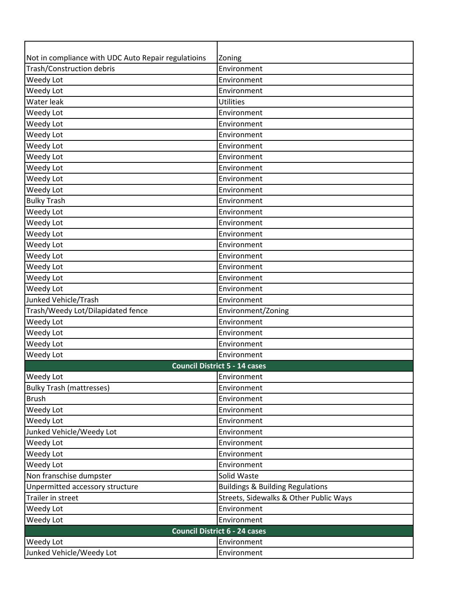| Not in compliance with UDC Auto Repair regulatioins | Zoning                                      |
|-----------------------------------------------------|---------------------------------------------|
| Trash/Construction debris                           | Environment                                 |
| Weedy Lot                                           | Environment                                 |
| Weedy Lot                                           | Environment                                 |
| Water leak                                          | Utilities                                   |
| Weedy Lot                                           | Environment                                 |
| Weedy Lot                                           | Environment                                 |
| Weedy Lot                                           | Environment                                 |
| Weedy Lot                                           | Environment                                 |
| Weedy Lot                                           | Environment                                 |
| Weedy Lot                                           | Environment                                 |
| Weedy Lot                                           | Environment                                 |
| Weedy Lot                                           | Environment                                 |
| <b>Bulky Trash</b>                                  | Environment                                 |
| Weedy Lot                                           | Environment                                 |
| Weedy Lot                                           | Environment                                 |
| Weedy Lot                                           | Environment                                 |
| Weedy Lot                                           | Environment                                 |
| Weedy Lot                                           | Environment                                 |
| Weedy Lot                                           | Environment                                 |
| Weedy Lot                                           | Environment                                 |
| Weedy Lot                                           | Environment                                 |
| Junked Vehicle/Trash                                | Environment                                 |
| Trash/Weedy Lot/Dilapidated fence                   | Environment/Zoning                          |
| Weedy Lot                                           | Environment                                 |
| Weedy Lot                                           | Environment                                 |
| Weedy Lot                                           | Environment                                 |
| Weedy Lot                                           | Environment                                 |
|                                                     | <b>Council District 5 - 14 cases</b>        |
| Weedy Lot                                           | Environment                                 |
| <b>Bulky Trash (mattresses)</b>                     | Environment                                 |
| <b>Brush</b>                                        | Environment                                 |
| Weedy Lot                                           | Environment                                 |
| Weedy Lot                                           | Environment                                 |
| Junked Vehicle/Weedy Lot                            | Environment                                 |
| Weedy Lot                                           | Environment                                 |
| Weedy Lot                                           | Environment                                 |
| Weedy Lot                                           | Environment                                 |
| Non franschise dumpster                             | Solid Waste                                 |
| Unpermitted accessory structure                     | <b>Buildings &amp; Building Regulations</b> |
| Trailer in street                                   | Streets, Sidewalks & Other Public Ways      |
| Weedy Lot                                           | Environment                                 |
| Weedy Lot                                           | Environment                                 |
| <b>Council District 6 - 24 cases</b>                |                                             |
| Weedy Lot                                           | Environment                                 |
| Junked Vehicle/Weedy Lot                            | Environment                                 |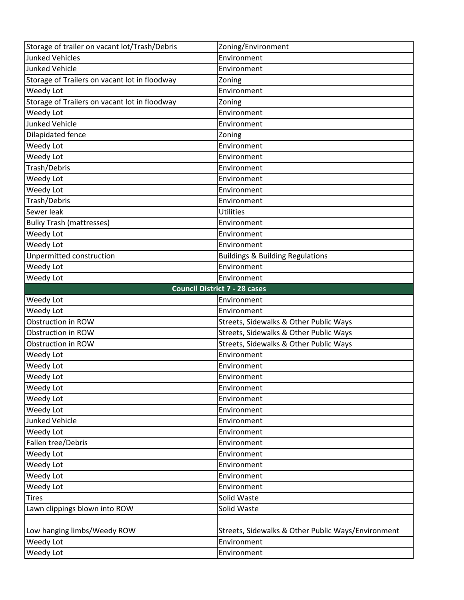| Storage of trailer on vacant lot/Trash/Debris | Zoning/Environment                                 |
|-----------------------------------------------|----------------------------------------------------|
| <b>Junked Vehicles</b>                        | Environment                                        |
| <b>Junked Vehicle</b>                         | Environment                                        |
| Storage of Trailers on vacant lot in floodway | Zoning                                             |
| Weedy Lot                                     | Environment                                        |
| Storage of Trailers on vacant lot in floodway | Zoning                                             |
| Weedy Lot                                     | Environment                                        |
| <b>Junked Vehicle</b>                         | Environment                                        |
| Dilapidated fence                             | Zoning                                             |
| Weedy Lot                                     | Environment                                        |
| Weedy Lot                                     | Environment                                        |
| Trash/Debris                                  | Environment                                        |
| Weedy Lot                                     | Environment                                        |
| Weedy Lot                                     | Environment                                        |
| Trash/Debris                                  | Environment                                        |
| Sewer leak                                    | <b>Utilities</b>                                   |
| <b>Bulky Trash (mattresses)</b>               | Environment                                        |
| Weedy Lot                                     | Environment                                        |
| Weedy Lot                                     | Environment                                        |
| Unpermitted construction                      | <b>Buildings &amp; Building Regulations</b>        |
| Weedy Lot                                     | Environment                                        |
| Weedy Lot                                     | Environment                                        |
|                                               | <b>Council District 7 - 28 cases</b>               |
|                                               | Environment                                        |
| Weedy Lot                                     |                                                    |
| Weedy Lot                                     | Environment                                        |
| Obstruction in ROW                            | Streets, Sidewalks & Other Public Ways             |
| Obstruction in ROW                            | Streets, Sidewalks & Other Public Ways             |
| Obstruction in ROW                            | Streets, Sidewalks & Other Public Ways             |
| Weedy Lot                                     | Environment                                        |
| Weedy Lot                                     | Environment                                        |
| Weedy Lot                                     | Environment                                        |
| Weedy Lot                                     | Environment                                        |
| Weedy Lot                                     | Environment                                        |
| Weedy Lot                                     | Environment                                        |
| <b>Junked Vehicle</b>                         | Environment                                        |
| Weedy Lot                                     | Environment                                        |
| Fallen tree/Debris                            | Environment                                        |
| Weedy Lot                                     | Environment                                        |
| Weedy Lot                                     | Environment                                        |
| Weedy Lot                                     | Environment                                        |
| Weedy Lot                                     | Environment                                        |
| <b>Tires</b>                                  | Solid Waste                                        |
| Lawn clippings blown into ROW                 | Solid Waste                                        |
|                                               |                                                    |
| Low hanging limbs/Weedy ROW                   | Streets, Sidewalks & Other Public Ways/Environment |
| Weedy Lot<br>Weedy Lot                        | Environment                                        |